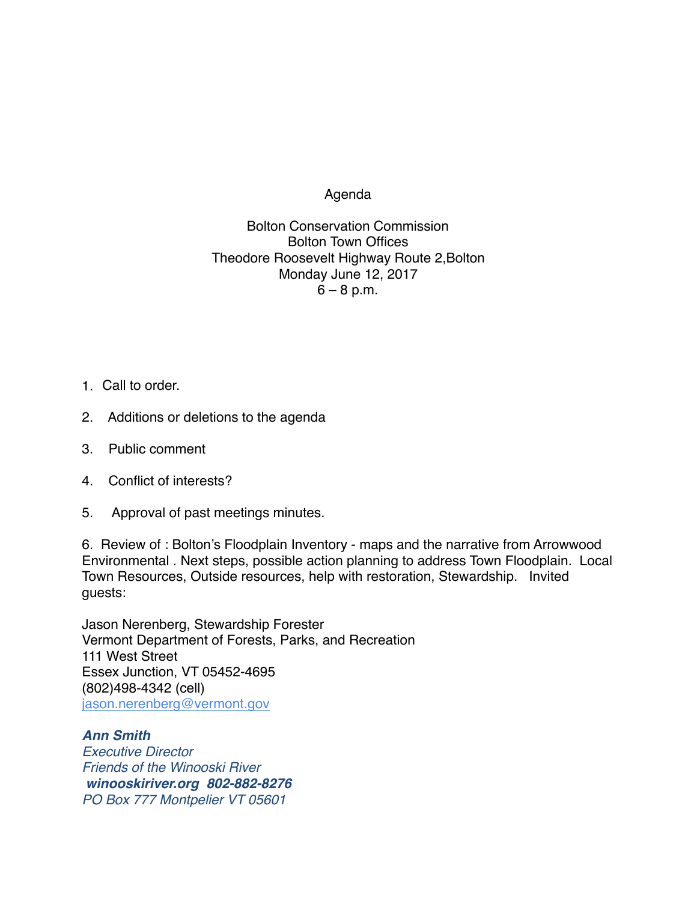Agenda

Bolton Conservation Commission Bolton Town Offices Theodore Roosevelt Highway Route 2,Bolton Monday June 12, 2017  $6 - 8$  p.m.

- 1. Call to order.
- 2. Additions or deletions to the agenda
- 3. Public comment
- 4. Conflict of interests?
- 5. Approval of past meetings minutes.

6. Review of : Bolton's Floodplain Inventory - maps and the narrative from Arrowwood Environmental . Next steps, possible action planning to address Town Floodplain. Local Town Resources, Outside resources, help with restoration, Stewardship. Invited guests:

Jason Nerenberg, Stewardship Forester Vermont Department of Forests, Parks, and Recreation 111 West Street Essex Junction, VT 05452-4695 (802)498-4342 (cell) [jason.nerenberg@vermont.gov](mailto:jason.nerenberg@vermont.gov)

*Ann Smith Executive Director Friends of the Winooski River [winooskiriver.org](http://winooskiriver.org/) 802-882-8276 PO Box 777 Montpelier VT 05601*